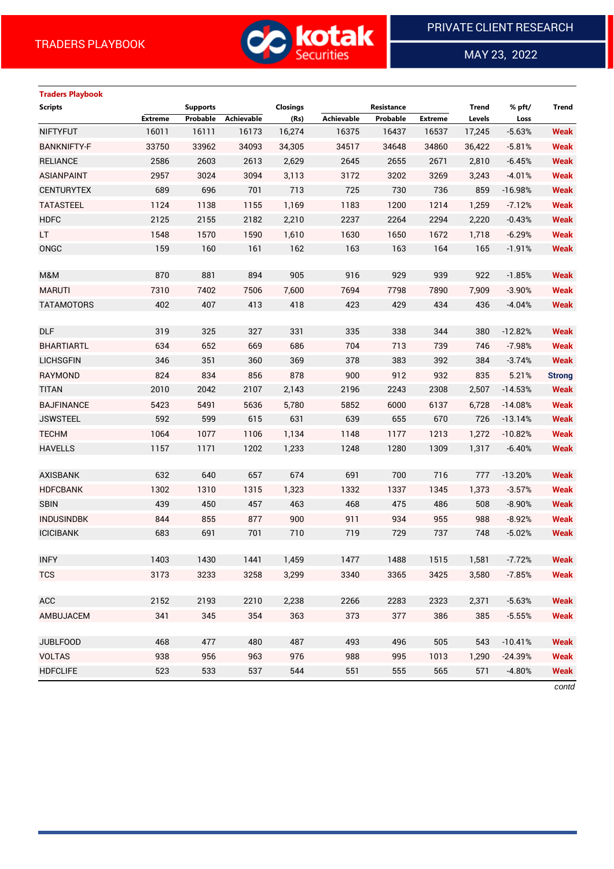

 $\overline{a}$ 

MAY 23, 2022

# **Traders Playbook Scripts Supports Closings Resistance Trend % pft/ Trend Extreme Probable Achievable (Rs) Achievable Probable Extreme Levels Loss** NIFTYFUT 16011 16111 16173 16,274 16375 16437 16537 17,245 -5.63% **Weak** BANKNIFTY-F 33750 33962 34093 34,305 34517 34648 34860 36,422 -5.81% **Weak** RELIANCE 2586 2603 2613 2,629 2645 2655 2671 2,810 -6.45% **Weak** ASIANPAINT 2957 3024 3094 3,113 3172 3202 3269 3,243 -4.01% **Weak** CENTURYTEX 689 696 701 713 725 730 736 859 -16.98% **Weak** TATASTEEL 1124 1138 1155 1,169 1183 1200 1214 1,259 -7.12% **Weak** HDFC 2125 2155 2182 2,210 2237 2264 2294 2,220 -0.43% **Weak** LT 1548 1570 1590 1,610 1630 1650 1672 1,718 -6.29% **Weak** ONGC 159 160 161 162 163 163 164 165 -1.91% **Weak** M&M 870 881 894 905 916 929 939 922 -1.85% **Weak** MARUTI 7310 7402 7506 7,600 7694 7798 7890 7,909 -3.90% **Weak** TATAMOTORS 402 407 413 418 423 429 434 436 -4.04% **Weak** DLF 319 325 327 331 335 338 344 380 -12.82% **Weak** BHARTIARTL 634 652 669 686 704 713 739 746 -7.98% **Weak** LICHSGFIN 346 351 360 369 378 383 392 384 -3.74% **Weak** RAYMOND 824 834 856 878 900 912 932 835 5.21% **Strong** TITAN 2010 2042 2107 2,143 2196 2243 2308 2,507 -14.53% **Weak** BAJFINANCE 5423 5491 5636 5,780 5852 6000 6137 6,728 -14.08% **Weak** JSWSTEEL 592 599 615 631 639 655 670 726 -13.14% **Weak** TECHM 1064 1077 1106 1,134 1148 1177 1213 1,272 -10.82% **Weak** HAVELLS 1157 1171 1202 1,233 1248 1280 1309 1,317 -6.40% **Weak** AXISBANK 632 640 657 674 691 700 716 777 -13.20% **Weak** HDFCBANK 1302 1310 1315 1,323 1332 1337 1345 1,373 -3.57% **Weak** SBIN 439 450 457 463 468 475 486 508 -8.90% **Weak** INDUSINDBK 844 855 877 900 911 934 955 988 -8.92% **Weak** ICICIBANK 683 691 701 710 719 729 737 748 -5.02% **Weak** INFY 1403 1430 1441 1,459 1477 1488 1515 1,581 -7.72% **Weak** TCS 3173 3233 3258 3,299 3340 3365 3425 3,580 -7.85% **Weak** ACC 2152 2193 2210 2,238 2266 2283 2323 2,371 -5.63% **Weak** AMBUJACEM 341 345 354 363 373 377 386 385 -5.55% **Weak** JUBLFOOD 468 477 480 487 493 496 505 543 -10.41% **Weak** VOLTAS 938 956 963 976 988 995 1013 1,290 -24.39% **Weak** HDFCLIFE 523 533 537 544 551 555 565 571 -4.80% **Weak**

*contd*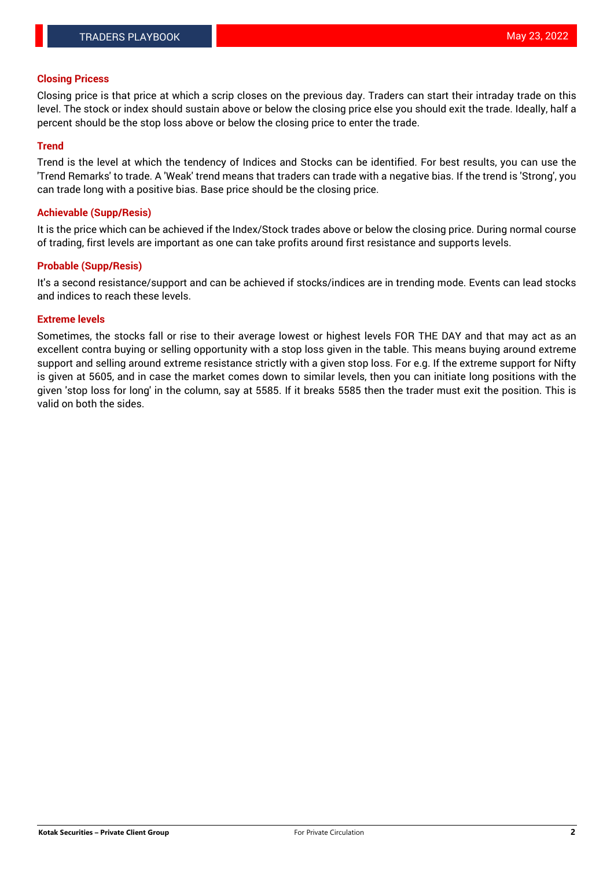# **Closing Pricess**

Closing price is that price at which a scrip closes on the previous day. Traders can start their intraday trade on this level. The stock or index should sustain above or below the closing price else you should exit the trade. Ideally, half a percent should be the stop loss above or below the closing price to enter the trade.

# **Trend**

Trend is the level at which the tendency of Indices and Stocks can be identified. For best results, you can use the 'Trend Remarks' to trade. A 'Weak' trend means that traders can trade with a negative bias. If the trend is 'Strong', you can trade long with a positive bias. Base price should be the closing price.

## **Achievable (Supp/Resis)**

It is the price which can be achieved if the Index/Stock trades above or below the closing price. During normal course of trading, first levels are important as one can take profits around first resistance and supports levels.

# **Probable (Supp/Resis)**

It's a second resistance/support and can be achieved if stocks/indices are in trending mode. Events can lead stocks and indices to reach these levels.

#### **Extreme levels**

Sometimes, the stocks fall or rise to their average lowest or highest levels FOR THE DAY and that may act as an excellent contra buying or selling opportunity with a stop loss given in the table. This means buying around extreme support and selling around extreme resistance strictly with a given stop loss. For e.g. If the extreme support for Nifty is given at 5605, and in case the market comes down to similar levels, then you can initiate long positions with the given 'stop loss for long' in the column, say at 5585. If it breaks 5585 then the trader must exit the position. This is valid on both the sides.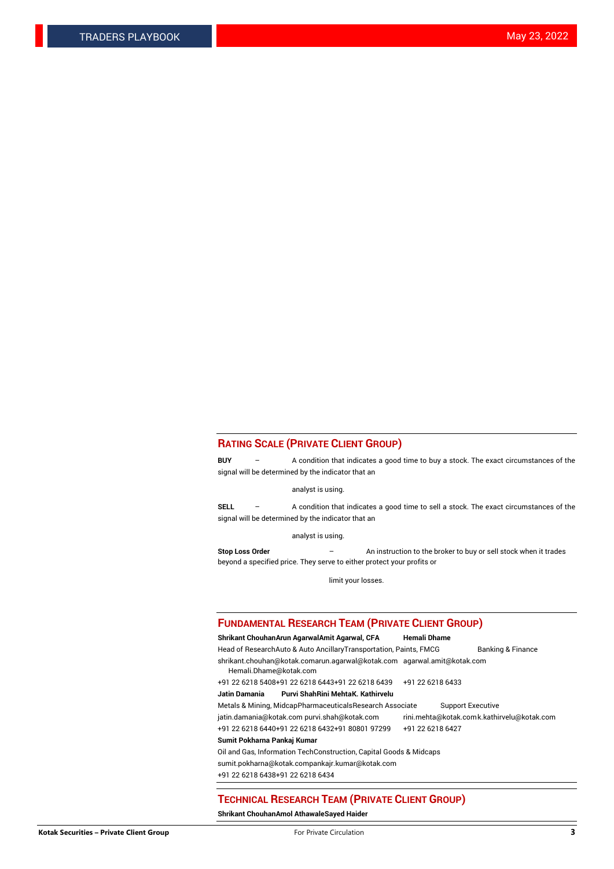#### **RATING SCALE (PRIVATE CLIENT GROUP)**

**BUY** – A condition that indicates a good time to buy a stock. The exact circumstances of the signal will be determined by the indicator that an

analyst is using.

**SELL** – A condition that indicates a good time to sell a stock. The exact circumstances of the signal will be determined by the indicator that an

analyst is using.

**Stop Loss Order** – An instruction to the broker to buy or sell stock when it trades beyond a specified price. They serve to either protect your profits or

limit your losses.

#### **FUNDAMENTAL RESEARCH TEAM (PRIVATE CLIENT GROUP)**

**Shrikant ChouhanArun AgarwalAmit Agarwal, CFA Hemali Dhame** Head of ResearchAuto & Auto AncillaryTransportation, Paints, FMCG Banking & Finance shrikant.chouhan@kotak.comarun.agarwal@kotak.com agarwal.amit@kotak.com Hemali.Dhame@kotak.com +91 22 6218 5408+91 22 6218 6443+91 22 6218 6439 +91 22 6218 6433 **Jatin Damania Purvi ShahRini MehtaK. Kathirvelu** Metals & Mining, MidcapPharmaceuticalsResearch Associate Support Executive jatin.damania@kotak.com [purvi.shah@kotak.com](mailto:purvi.shah@kotak.com) rini.mehta@kotak.co[mk.kathirvelu@kotak.com](mailto:k.kathirvelu@kotak.com) +91 22 6218 6440+91 22 6218 6432+91 80801 97299 +91 22 6218 6427 **Sumit Pokharna Pankaj Kumar**

Oil and Gas, Information TechConstruction, Capital Goods & Midcaps

sumit.pokharna@kotak.compankajr.kumar@kotak.com

+91 22 6218 6438+91 22 6218 6434

#### **TECHNICAL RESEARCH TEAM (PRIVATE CLIENT GROUP)**

**Shrikant ChouhanAmol AthawaleSayed Haider**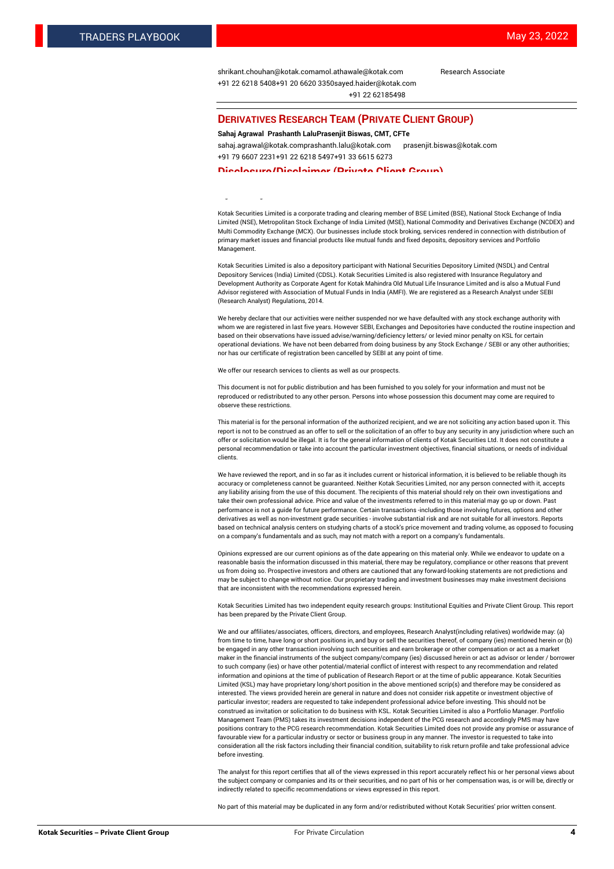[shrikant.chouhan@kotak.com](mailto:shrikant.chouhan@kotak.com)[amol.athawale@kotak.com](mailto:amol.athawale@kotak.com) Research Associate +91 22 6218 5408+91 20 6620 335[0sayed.haider@kotak.com](mailto:sayed.haider@kotak.com) +91 22 62185498

#### **DERIVATIVES RESEARCH TEAM (PRIVATE CLIENT GROUP)**

#### **Sahaj Agrawal Prashanth LaluPrasenjit Biswas, CMT, CFTe**

[sahaj.agrawal@kotak.com](mailto:sahaj.agrawal@kotak.com)[prashanth.lalu@kotak.com](mailto:prashanth.lalu@kotak.com) [prasenjit.biswas@kotak.com](mailto:prasenjit.biswas@kotak.com) +91 79 6607 2231+91 22 6218 5497+91 33 6615 6273

#### **Disclosure/Disclaimer (Private Client Group)**

largest brokerage and distribution house.

Kotak Securities Limited is a corporate trading and clearing member of BSE Limited (BSE), National Stock Exchange of India Limited (NSE), Metropolitan Stock Exchange of India Limited (MSE), National Commodity and Derivatives Exchange (NCDEX) and Multi Commodity Exchange (MCX). Our businesses include stock broking, services rendered in connection with distribution of primary market issues and financial products like mutual funds and fixed deposits, depository services and Portfolio Management.

Kotak Securities Limited is also a depository participant with National Securities Depository Limited (NSDL) and Central Depository Services (India) Limited (CDSL). Kotak Securities Limited is also registered with Insurance Regulatory and Development Authority as Corporate Agent for Kotak Mahindra Old Mutual Life Insurance Limited and is also a Mutual Fund Advisor registered with Association of Mutual Funds in India (AMFI). We are registered as a Research Analyst under SEBI (Research Analyst) Regulations, 2014.

We hereby declare that our activities were neither suspended nor we have defaulted with any stock exchange authority with whom we are registered in last five years. However SEBI, Exchanges and Depositories have conducted the routine inspection and based on their observations have issued advise/warning/deficiency letters/ or levied minor penalty on KSL for certain operational deviations. We have not been debarred from doing business by any Stock Exchange / SEBI or any other authorities; nor has our certificate of registration been cancelled by SEBI at any point of time.

We offer our research services to clients as well as our prospects.

This document is not for public distribution and has been furnished to you solely for your information and must not be reproduced or redistributed to any other person. Persons into whose possession this document may come are required to observe these restrictions.

This material is for the personal information of the authorized recipient, and we are not soliciting any action based upon it. This report is not to be construed as an offer to sell or the solicitation of an offer to buy any security in any jurisdiction where such an offer or solicitation would be illegal. It is for the general information of clients of Kotak Securities Ltd. It does not constitute a personal recommendation or take into account the particular investment objectives, financial situations, or needs of individual clients.

We have reviewed the report, and in so far as it includes current or historical information, it is believed to be reliable though its accuracy or completeness cannot be guaranteed. Neither Kotak Securities Limited, nor any person connected with it, accepts any liability arising from the use of this document. The recipients of this material should rely on their own investigations and take their own professional advice. Price and value of the investments referred to in this material may go up or down. Past performance is not a guide for future performance. Certain transactions -including those involving futures, options and other derivatives as well as non-investment grade securities - involve substantial risk and are not suitable for all investors. Reports based on technical analysis centers on studying charts of a stock's price movement and trading volume, as opposed to focusing on a company's fundamentals and as such, may not match with a report on a company's fundamentals.

Opinions expressed are our current opinions as of the date appearing on this material only. While we endeavor to update on a reasonable basis the information discussed in this material, there may be regulatory, compliance or other reasons that prevent us from doing so. Prospective investors and others are cautioned that any forward-looking statements are not predictions and may be subject to change without notice. Our proprietary trading and investment businesses may make investment decisions that are inconsistent with the recommendations expressed herein.

Kotak Securities Limited has two independent equity research groups: Institutional Equities and Private Client Group. This report has been prepared by the Private Client Group.

We and our affiliates/associates, officers, directors, and employees, Research Analyst(including relatives) worldwide may: (a) from time to time, have long or short positions in, and buy or sell the securities thereof, of company (ies) mentioned herein or (b) be engaged in any other transaction involving such securities and earn brokerage or other compensation or act as a market maker in the financial instruments of the subject company/company (ies) discussed herein or act as advisor or lender / borrower to such company (ies) or have other potential/material conflict of interest with respect to any recommendation and related information and opinions at the time of publication of Research Report or at the time of public appearance. Kotak Securities Limited (KSL) may have proprietary long/short position in the above mentioned scrip(s) and therefore may be considered as interested. The views provided herein are general in nature and does not consider risk appetite or investment objective of particular investor; readers are requested to take independent professional advice before investing. This should not be construed as invitation or solicitation to do business with KSL. Kotak Securities Limited is also a Portfolio Manager. Portfolio Management Team (PMS) takes its investment decisions independent of the PCG research and accordingly PMS may have positions contrary to the PCG research recommendation. Kotak Securities Limited does not provide any promise or assurance of favourable view for a particular industry or sector or business group in any manner. The investor is requested to take into consideration all the risk factors including their financial condition, suitability to risk return profile and take professional advice before investing.

The analyst for this report certifies that all of the views expressed in this report accurately reflect his or her personal views about the subject company or companies and its or their securities, and no part of his or her compensation was, is or will be, directly or indirectly related to specific recommendations or views expressed in this report.

No part of this material may be duplicated in any form and/or redistributed without Kotak Securities' prior written consent.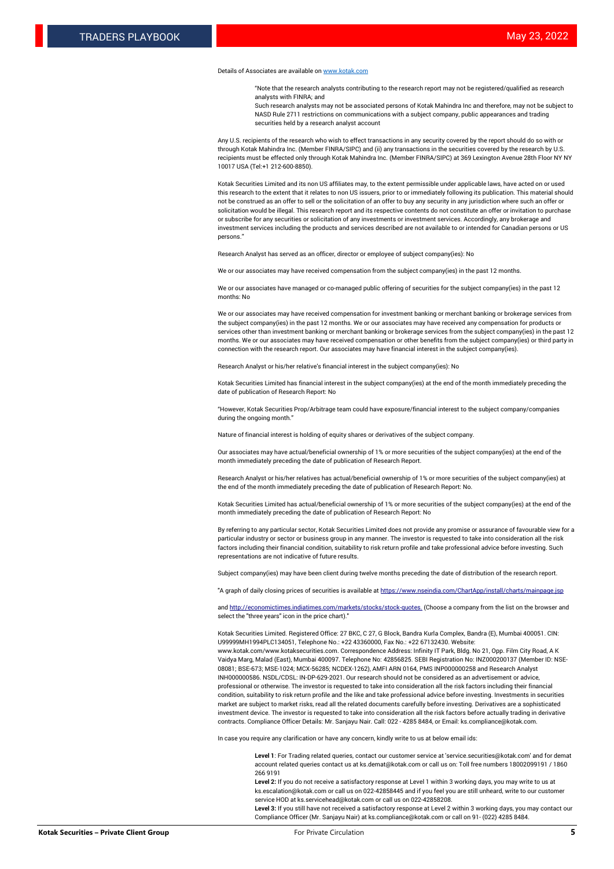#### Details of Associates are available o[n www.kotak.com](http://www.kotak.com/)

"Note that the research analysts contributing to the research report may not be registered/qualified as research analysts with FINRA; and

Such research analysts may not be associated persons of Kotak Mahindra Inc and therefore, may not be subject to NASD Rule 2711 restrictions on communications with a subject company, public appearances and trading securities held by a research analyst account

Any U.S. recipients of the research who wish to effect transactions in any security covered by the report should do so with or through Kotak Mahindra Inc. (Member FINRA/SIPC) and (ii) any transactions in the securities covered by the research by U.S. recipients must be effected only through Kotak Mahindra Inc. (Member FINRA/SIPC) at 369 Lexington Avenue 28th Floor NY NY 10017 USA (Tel:+1 212-600-8850).

Kotak Securities Limited and its non US affiliates may, to the extent permissible under applicable laws, have acted on or used this research to the extent that it relates to non US issuers, prior to or immediately following its publication. This material should not be construed as an offer to sell or the solicitation of an offer to buy any security in any jurisdiction where such an offer or solicitation would be illegal. This research report and its respective contents do not constitute an offer or invitation to purchase or subscribe for any securities or solicitation of any investments or investment services. Accordingly, any brokerage and investment services including the products and services described are not available to or intended for Canadian persons or US persons."

Research Analyst has served as an officer, director or employee of subject company(ies): No

We or our associates may have received compensation from the subject company(ies) in the past 12 months.

We or our associates have managed or co-managed public offering of securities for the subject company(ies) in the past 12 months: No

We or our associates may have received compensation for investment banking or merchant banking or brokerage services from the subject company(ies) in the past 12 months. We or our associates may have received any compensation for products or services other than investment banking or merchant banking or brokerage services from the subject company(ies) in the past 12 months. We or our associates may have received compensation or other benefits from the subject company(ies) or third party in connection with the research report. Our associates may have financial interest in the subject company(ies).

Research Analyst or his/her relative's financial interest in the subject company(ies): No

Kotak Securities Limited has financial interest in the subject company(ies) at the end of the month immediately preceding the date of publication of Research Report: No

"However, Kotak Securities Prop/Arbitrage team could have exposure/financial interest to the subject company/companies during the ongoing month."

Nature of financial interest is holding of equity shares or derivatives of the subject company.

Our associates may have actual/beneficial ownership of 1% or more securities of the subject company(ies) at the end of the month immediately preceding the date of publication of Research Report.

Research Analyst or his/her relatives has actual/beneficial ownership of 1% or more securities of the subject company(ies) at the end of the month immediately preceding the date of publication of Research Report: No.

Kotak Securities Limited has actual/beneficial ownership of 1% or more securities of the subject company(ies) at the end of the month immediately preceding the date of publication of Research Report: No

By referring to any particular sector, Kotak Securities Limited does not provide any promise or assurance of favourable view for a particular industry or sector or business group in any manner. The investor is requested to take into consideration all the risk factors including their financial condition, suitability to risk return profile and take professional advice before investing. Such representations are not indicative of future results.

Subject company(ies) may have been client during twelve months preceding the date of distribution of the research report.

"A graph of daily closing prices of securities is available at https://www.nseindia.com/ChartApp/install/charts/main

and http://economictimes.indiatimes.com/markets/stocks/stock-quotes. (Choose a company from the list on the browser and select the "three years" icon in the price chart)."

Kotak Securities Limited. Registered Office: 27 BKC, C 27, G Block, Bandra Kurla Complex, Bandra (E), Mumbai 400051. CIN: U99999MH1994PLC134051, Telephone No.: +22 43360000, Fax No.: +22 67132430. Website:

www.kotak.com/www.kotaksecurities.com. Correspondence Address: Infinity IT Park, Bldg. No 21, Opp. Film City Road, A K Vaidya Marg, Malad (East), Mumbai 400097. Telephone No: 42856825. SEBI Registration No: INZ000200137 (Member ID: NSE-08081; BSE-673; MSE-1024; MCX-56285; NCDEX-1262), AMFI ARN 0164, PMS INP000000258 and Research Analyst INH000000586. NSDL/CDSL: IN-DP-629-2021. Our research should not be considered as an advertisement or advice, professional or otherwise. The investor is requested to take into consideration all the risk factors including their financial condition, suitability to risk return profile and the like and take professional advice before investing. Investments in securities market are subject to market risks, read all the related documents carefully before investing. Derivatives are a sophisticated investment device. The investor is requested to take into consideration all the risk factors before actually trading in derivative contracts. Compliance Officer Details: Mr. Sanjayu Nair. Call: 022 - 4285 8484, or Email: ks.compliance@kotak.com.

In case you require any clarification or have any concern, kindly write to us at below email ids:

**Level 1**: For Trading related queries, contact our customer service at 'service.securities@kotak.com' and for demat account related queries contact us at ks.demat@kotak.com or call us on: Toll free numbers 18002099191 / 1860 266 9191

**Level 2:** If you do not receive a satisfactory response at Level 1 within 3 working days, you may write to us at ks.escalation@kotak.com or call us on 022-42858445 and if you feel you are still unheard, write to our customer service HOD at ks.servicehead@kotak.com or call us on 022-42858208.

**Level 3:** If you still have not received a satisfactory response at Level 2 within 3 working days, you may contact our Compliance Officer (Mr. Sanjayu Nair) at ks.compliance@kotak.com or call on 91- (022) 4285 8484.